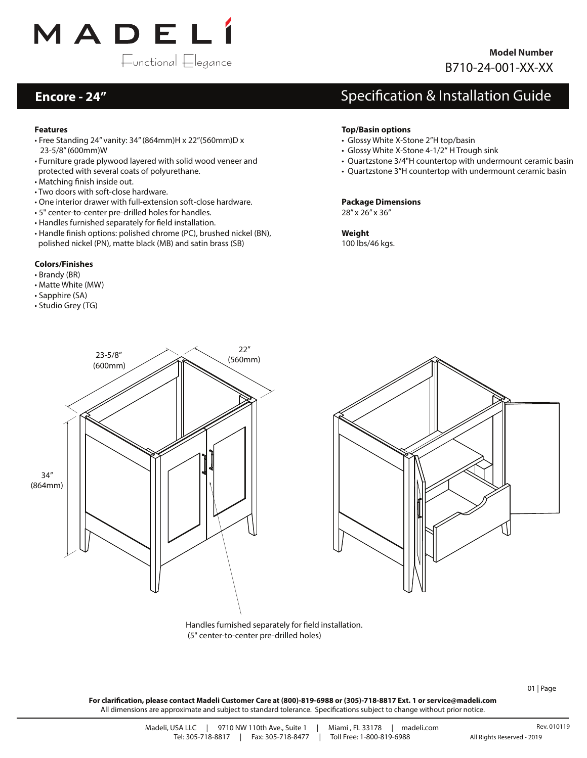

### **Encore - 24"**

### **Features**

- Free Standing 24" vanity: 34" (864mm)H x 22"(560mm)D x 23-5/8" (600mm)W
- Furniture grade plywood layered with solid wood veneer and protected with several coats of polyurethane.
- Matching finish inside out.
- Two doors with soft-close hardware.
- One interior drawer with full-extension soft-close hardware.
- 5" center-to-center pre-drilled holes for handles.
- Handles furnished separately for field installation.
- Handle finish options: polished chrome (PC), brushed nickel (BN), polished nickel (PN), matte black (MB) and satin brass (SB)

### **Colors/Finishes**

- Brandy (BR)
- Matte White (MW)
- Sapphire (SA)
- Studio Grey (TG)

## Specification & Installation Guide

#### **Top/Basin options**

- Glossy White X-Stone 2"H top/basin
- Glossy White X-Stone 4-1/2" H Trough sink
- Quartzstone 3/4"H countertop with undermount ceramic basin
- Quartzstone 3"H countertop with undermount ceramic basin

#### **Package Dimensions** 28" x 26" x 36"

**Weight** 100 lbs/46 kgs.





Handles furnished separately for field installation. (5" center-to-center pre-drilled holes)

01 | Page

**For clarication, please contact Madeli Customer Care at (800)-819-6988 or (305)-718-8817 Ext. 1 or service@madeli.com** All dimensions are approximate and subject to standard tolerance. Specifications subject to change without prior notice.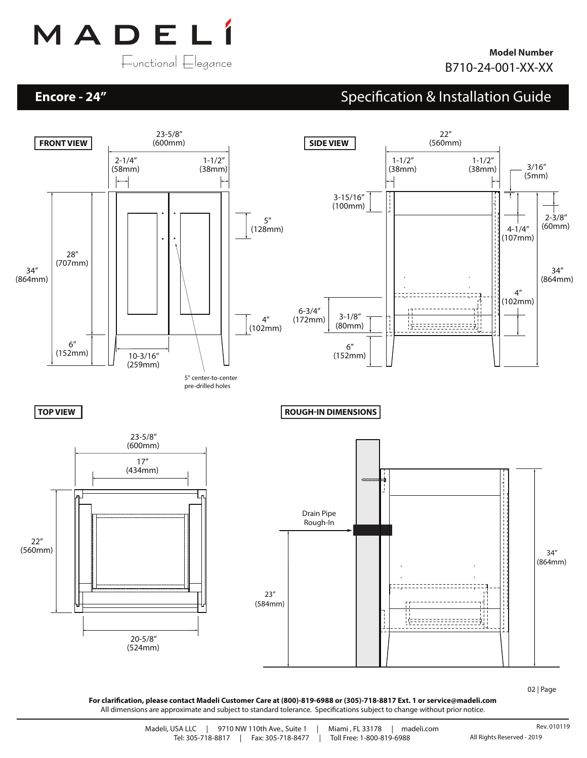

### **Encore - 24"**

# Specification & Installation Guide



02 | Page

**For clarication, please contact Madeli Customer Care at (800)-819-6988 or (305)-718-8817 Ext. 1 or service@madeli.com** All dimensions are approximate and subject to standard tolerance. Specifications subject to change without prior notice.